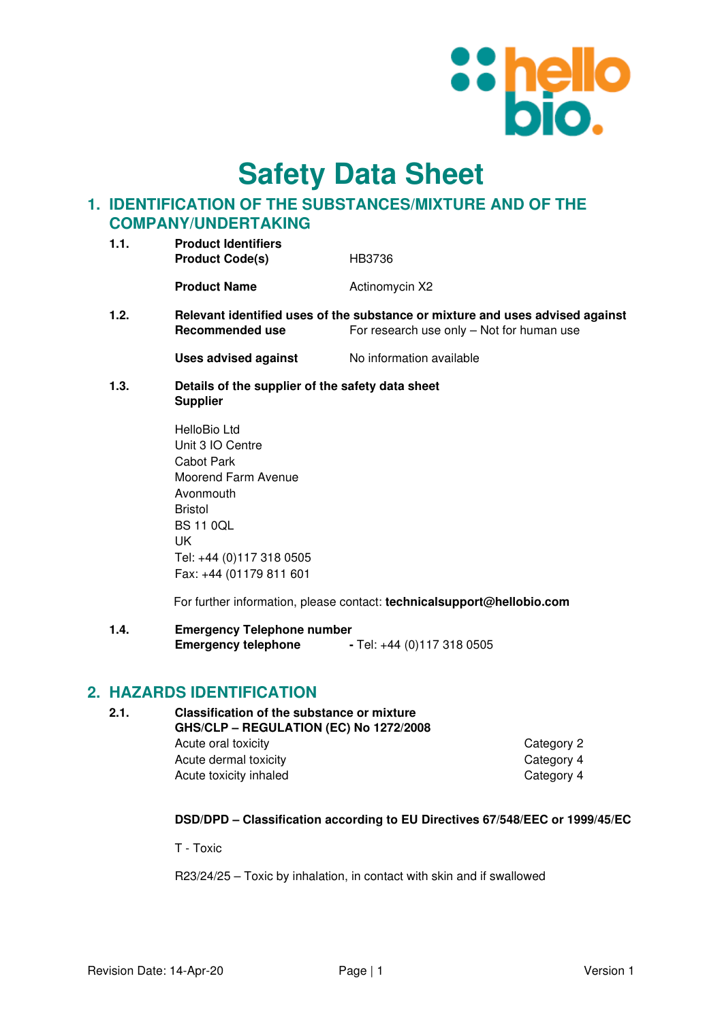

**Safety Data Sheet**

# **1. IDENTIFICATION OF THE SUBSTANCES/MIXTURE AND OF THE COMPANY/UNDERTAKING**

| 1.1. | <b>Product Identifiers</b><br><b>Product Code(s)</b><br>HB3736 |                |  |
|------|----------------------------------------------------------------|----------------|--|
|      | <b>Product Name</b>                                            | Actinomycin X2 |  |
| ◢ へ  | Balanant identifical mass of the substances an urb             |                |  |

**1.2. Relevant identified uses of the substance or mixture and uses advised against Recommended use** For research use only – Not for human use

**Uses advised against No information available** 

**1.3. Details of the supplier of the safety data sheet Supplier** 

> HelloBio Ltd Unit 3 IO Centre Cabot Park Moorend Farm Avenue Avonmouth Bristol BS 11 0QL UK Tel: +44 (0)117 318 0505 Fax: +44 (01179 811 601

For further information, please contact: **technicalsupport@hellobio.com** 

**1.4. Emergency Telephone number Emergency telephone** - Tel: +44 (0)117 318 0505

# **2. HAZARDS IDENTIFICATION**

| 2.1. | Classification of the substance or mixture<br>GHS/CLP - REGULATION (EC) No 1272/2008 |            |  |
|------|--------------------------------------------------------------------------------------|------------|--|
|      | Acute oral toxicity                                                                  | Category 2 |  |
|      | Acute dermal toxicity                                                                | Category 4 |  |
|      | Acute toxicity inhaled                                                               | Category 4 |  |

### **DSD/DPD – Classification according to EU Directives 67/548/EEC or 1999/45/EC**

T - Toxic

R23/24/25 – Toxic by inhalation, in contact with skin and if swallowed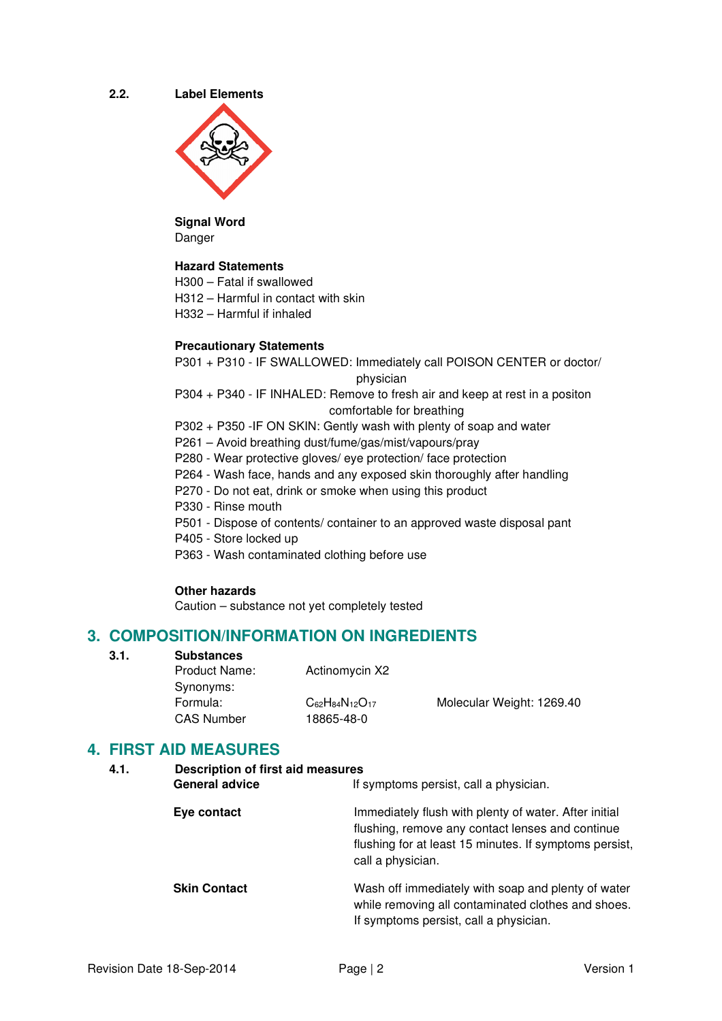**2.2. Label Elements** 



#### **Signal Word**  Danger

### **Hazard Statements**

H300 – Fatal if swallowed

- H312 Harmful in contact with skin
- H332 Harmful if inhaled

### **Precautionary Statements**

P301 + P310 - IF SWALLOWED: Immediately call POISON CENTER or doctor/ physician

P304 + P340 - IF INHALED: Remove to fresh air and keep at rest in a positon comfortable for breathing

P302 + P350 -IF ON SKIN: Gently wash with plenty of soap and water

- P261 Avoid breathing dust/fume/gas/mist/vapours/pray
- P280 Wear protective gloves/ eye protection/ face protection
- P264 Wash face, hands and any exposed skin thoroughly after handling
- P270 Do not eat, drink or smoke when using this product
- P330 Rinse mouth
- P501 Dispose of contents/ container to an approved waste disposal pant
- P405 Store locked up
- P363 Wash contaminated clothing before use

### **Other hazards**

Caution – substance not yet completely tested

# **3. COMPOSITION/INFORMATION ON INGREDIENTS**

**3.1. Substances** 

| <b>Product Name:</b><br>Synonyms: | Actinomycin X2                           |                           |
|-----------------------------------|------------------------------------------|---------------------------|
| Formula:<br><b>CAS Number</b>     | $C_{62}H_{84}N_{12}O_{17}$<br>18865-48-0 | Molecular Weight: 1269.40 |

# **4. FIRST AID MEASURES**

| <b>Description of first aid measures</b><br>4.1. |                                                                                                                                                                                          |
|--------------------------------------------------|------------------------------------------------------------------------------------------------------------------------------------------------------------------------------------------|
| <b>General advice</b>                            | If symptoms persist, call a physician.                                                                                                                                                   |
| Eye contact                                      | Immediately flush with plenty of water. After initial<br>flushing, remove any contact lenses and continue<br>flushing for at least 15 minutes. If symptoms persist,<br>call a physician. |
| <b>Skin Contact</b>                              | Wash off immediately with soap and plenty of water<br>while removing all contaminated clothes and shoes.<br>If symptoms persist, call a physician.                                       |
|                                                  |                                                                                                                                                                                          |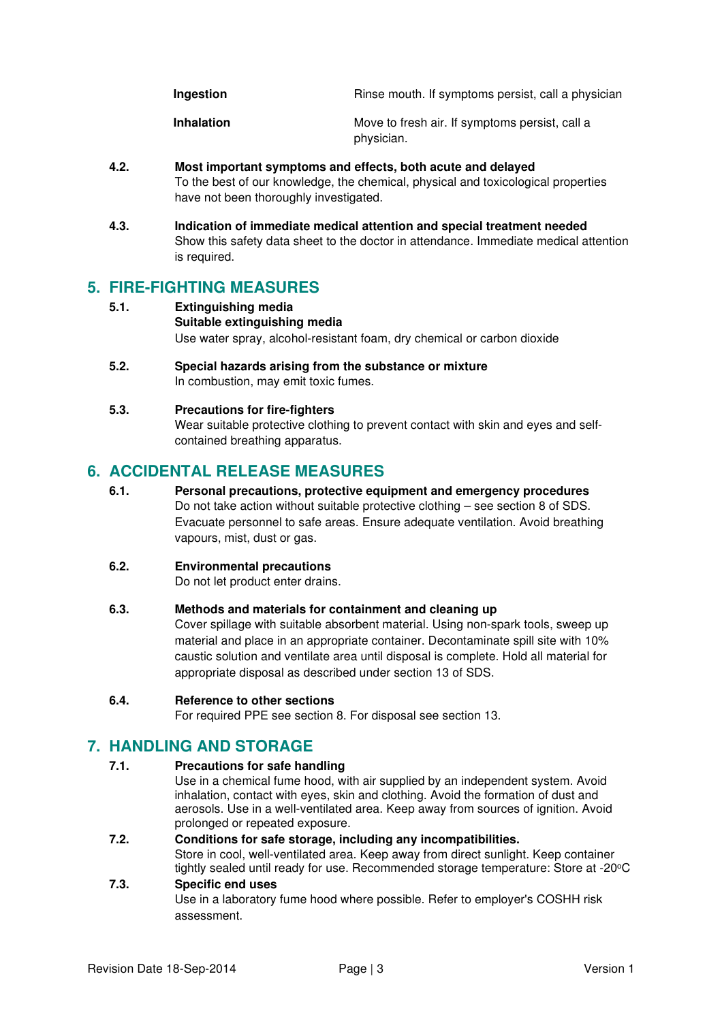| Ingestion | Rinse mouth. If symptoms persist, call a physician |  |
|-----------|----------------------------------------------------|--|
|           |                                                    |  |

**Inhalation Inhalation Move to fresh air. If symptoms persist, call a** physician.

- **4.2. Most important symptoms and effects, both acute and delayed**  To the best of our knowledge, the chemical, physical and toxicological properties have not been thoroughly investigated.
- **4.3. Indication of immediate medical attention and special treatment needed**  Show this safety data sheet to the doctor in attendance. Immediate medical attention is required.

# **5. FIRE-FIGHTING MEASURES**

- **5.1. Extinguishing media Suitable extinguishing media** Use water spray, alcohol-resistant foam, dry chemical or carbon dioxide
- **5.2. Special hazards arising from the substance or mixture**  In combustion, may emit toxic fumes.

## **5.3. Precautions for fire-fighters**

Wear suitable protective clothing to prevent contact with skin and eyes and selfcontained breathing apparatus.

# **6. ACCIDENTAL RELEASE MEASURES**

**6.1. Personal precautions, protective equipment and emergency procedures**  Do not take action without suitable protective clothing – see section 8 of SDS. Evacuate personnel to safe areas. Ensure adequate ventilation. Avoid breathing vapours, mist, dust or gas.

## **6.2. Environmental precautions**

Do not let product enter drains.

### **6.3. Methods and materials for containment and cleaning up**

Cover spillage with suitable absorbent material. Using non-spark tools, sweep up material and place in an appropriate container. Decontaminate spill site with 10% caustic solution and ventilate area until disposal is complete. Hold all material for appropriate disposal as described under section 13 of SDS.

### **6.4. Reference to other sections**

For required PPE see section 8. For disposal see section 13.

# **7. HANDLING AND STORAGE**

### **7.1. Precautions for safe handling**

Use in a chemical fume hood, with air supplied by an independent system. Avoid inhalation, contact with eyes, skin and clothing. Avoid the formation of dust and aerosols. Use in a well-ventilated area. Keep away from sources of ignition. Avoid prolonged or repeated exposure.

## **7.2. Conditions for safe storage, including any incompatibilities.**

Store in cool, well-ventilated area. Keep away from direct sunlight. Keep container tightly sealed until ready for use. Recommended storage temperature: Store at -20°C

# **7.3. Specific end uses**

Use in a laboratory fume hood where possible. Refer to employer's COSHH risk assessment.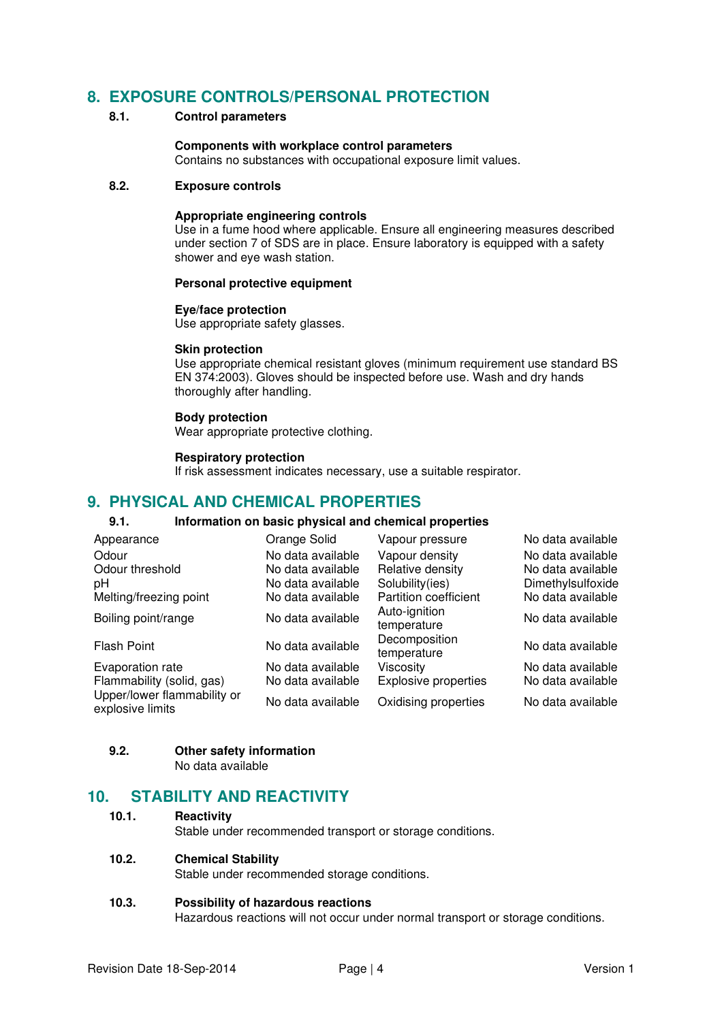# **8. EXPOSURE CONTROLS/PERSONAL PROTECTION**

### **8.1. Control parameters**

#### **Components with workplace control parameters**

Contains no substances with occupational exposure limit values.

## **8.2. Exposure controls**

#### **Appropriate engineering controls**

Use in a fume hood where applicable. Ensure all engineering measures described under section 7 of SDS are in place. Ensure laboratory is equipped with a safety shower and eye wash station.

#### **Personal protective equipment**

#### **Eye/face protection**

Use appropriate safety glasses.

#### **Skin protection**

Use appropriate chemical resistant gloves (minimum requirement use standard BS EN 374:2003). Gloves should be inspected before use. Wash and dry hands thoroughly after handling.

#### **Body protection**

Wear appropriate protective clothing.

#### **Respiratory protection**

If risk assessment indicates necessary, use a suitable respirator.

# **9. PHYSICAL AND CHEMICAL PROPERTIES**

### **9.1. Information on basic physical and chemical properties**

| Appearance                                      | Orange Solid      | Vapour pressure              | No data available |
|-------------------------------------------------|-------------------|------------------------------|-------------------|
| Odour                                           | No data available | Vapour density               | No data available |
| Odour threshold                                 | No data available | Relative density             | No data available |
| рH                                              | No data available | Solubility(ies)              | Dimethylsulfoxide |
| Melting/freezing point                          | No data available | Partition coefficient        | No data available |
| Boiling point/range                             | No data available | Auto-ignition<br>temperature | No data available |
| Flash Point                                     | No data available | Decomposition<br>temperature | No data available |
| Evaporation rate                                | No data available | Viscosity                    | No data available |
| Flammability (solid, gas)                       | No data available | <b>Explosive properties</b>  | No data available |
| Upper/lower flammability or<br>explosive limits | No data available | Oxidising properties         | No data available |

### **9.2. Other safety information**

No data available

# **10. STABILITY AND REACTIVITY**

#### **10.1. Reactivity**

Stable under recommended transport or storage conditions.

#### **10.2. Chemical Stability**

Stable under recommended storage conditions.

### **10.3. Possibility of hazardous reactions**

Hazardous reactions will not occur under normal transport or storage conditions.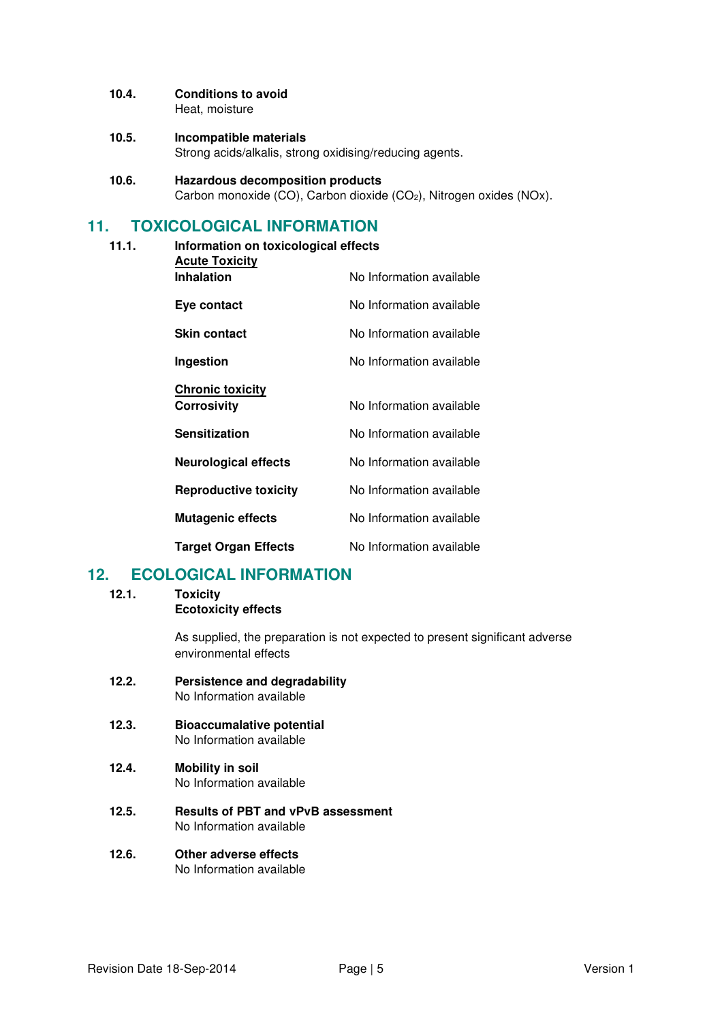# **10.4. Conditions to avoid**

Heat, moisture

#### **10.5. Incompatible materials**  Strong acids/alkalis, strong oxidising/reducing agents.

**10.6. Hazardous decomposition products**  Carbon monoxide (CO), Carbon dioxide (CO<sub>2</sub>), Nitrogen oxides (NOx).

# **11. TOXICOLOGICAL INFORMATION**

**11.1. Information on toxicological effects Acute Toxicity Inhalation** No Information available **Eye contact** No Information available **Skin contact** No Information available **Ingestion** No Information available **Chronic toxicity Corrosivity No Information available Sensitization No Information available Neurological effects** No Information available **Reproductive toxicity** No Information available **Mutagenic effects** No Information available **Target Organ Effects** No Information available

# **12. ECOLOGICAL INFORMATION**

**12.1. Toxicity** 

**Ecotoxicity effects** 

As supplied, the preparation is not expected to present significant adverse environmental effects

- **12.2. Persistence and degradability**  No Information available
- **12.3. Bioaccumalative potential**  No Information available
- **12.4. Mobility in soil**  No Information available
- **12.5. Results of PBT and vPvB assessment**  No Information available
- **12.6. Other adverse effects**  No Information available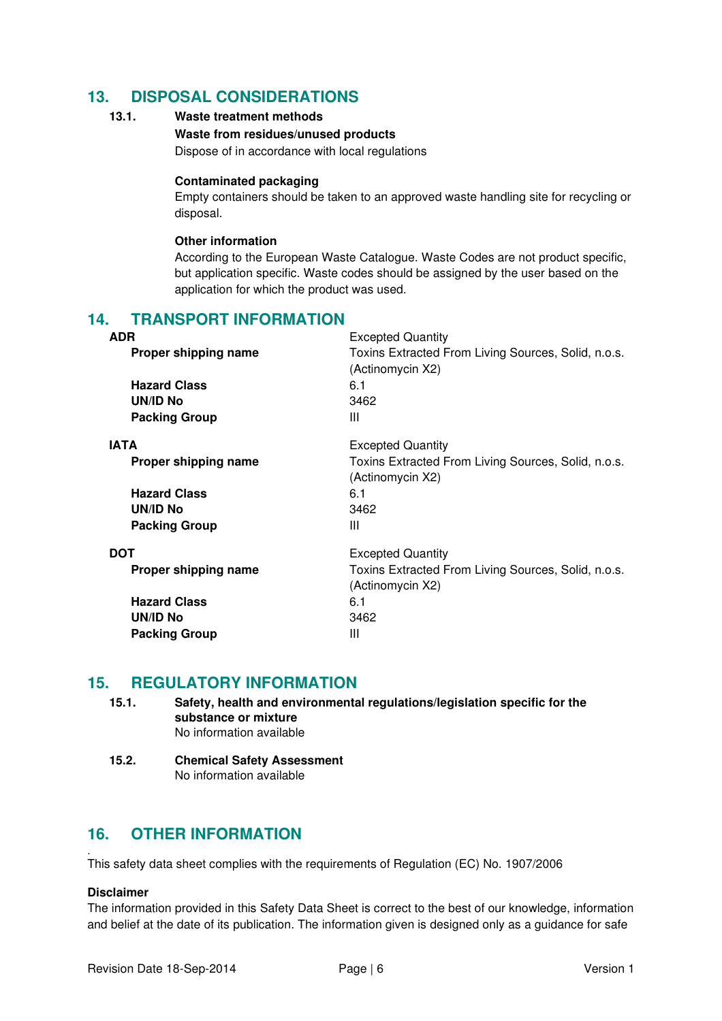# **13. DISPOSAL CONSIDERATIONS**

## **13.1. Waste treatment methods**

#### **Waste from residues/unused products**

Dispose of in accordance with local regulations

#### **Contaminated packaging**

Empty containers should be taken to an approved waste handling site for recycling or disposal.

#### **Other information**

According to the European Waste Catalogue. Waste Codes are not product specific, but application specific. Waste codes should be assigned by the user based on the application for which the product was used.

# **14. TRANSPORT INFORMATION**

| <b>ADR</b>           | <b>Excepted Quantity</b>                                                |
|----------------------|-------------------------------------------------------------------------|
| Proper shipping name | Toxins Extracted From Living Sources, Solid, n.o.s.<br>(Actinomycin X2) |
| <b>Hazard Class</b>  | 6.1                                                                     |
| <b>UN/ID No</b>      | 3462                                                                    |
| <b>Packing Group</b> | Ш                                                                       |
| <b>IATA</b>          | <b>Excepted Quantity</b>                                                |
| Proper shipping name | Toxins Extracted From Living Sources, Solid, n.o.s.<br>(Actinomycin X2) |
| <b>Hazard Class</b>  | 6.1                                                                     |
| UN/ID No             | 3462                                                                    |
| <b>Packing Group</b> | Ш                                                                       |
| <b>DOT</b>           | <b>Excepted Quantity</b>                                                |
| Proper shipping name | Toxins Extracted From Living Sources, Solid, n.o.s.<br>(Actinomycin X2) |
| <b>Hazard Class</b>  | 6.1                                                                     |
| UN/ID No             | 3462                                                                    |
| <b>Packing Group</b> | Ш                                                                       |

# **15. REGULATORY INFORMATION**

**15.1. Safety, health and environmental regulations/legislation specific for the substance or mixture**  No information available

#### **15.2. Chemical Safety Assessment**  No information available

# **16. OTHER INFORMATION**

. This safety data sheet complies with the requirements of Regulation (EC) No. 1907/2006

### **Disclaimer**

The information provided in this Safety Data Sheet is correct to the best of our knowledge, information and belief at the date of its publication. The information given is designed only as a guidance for safe